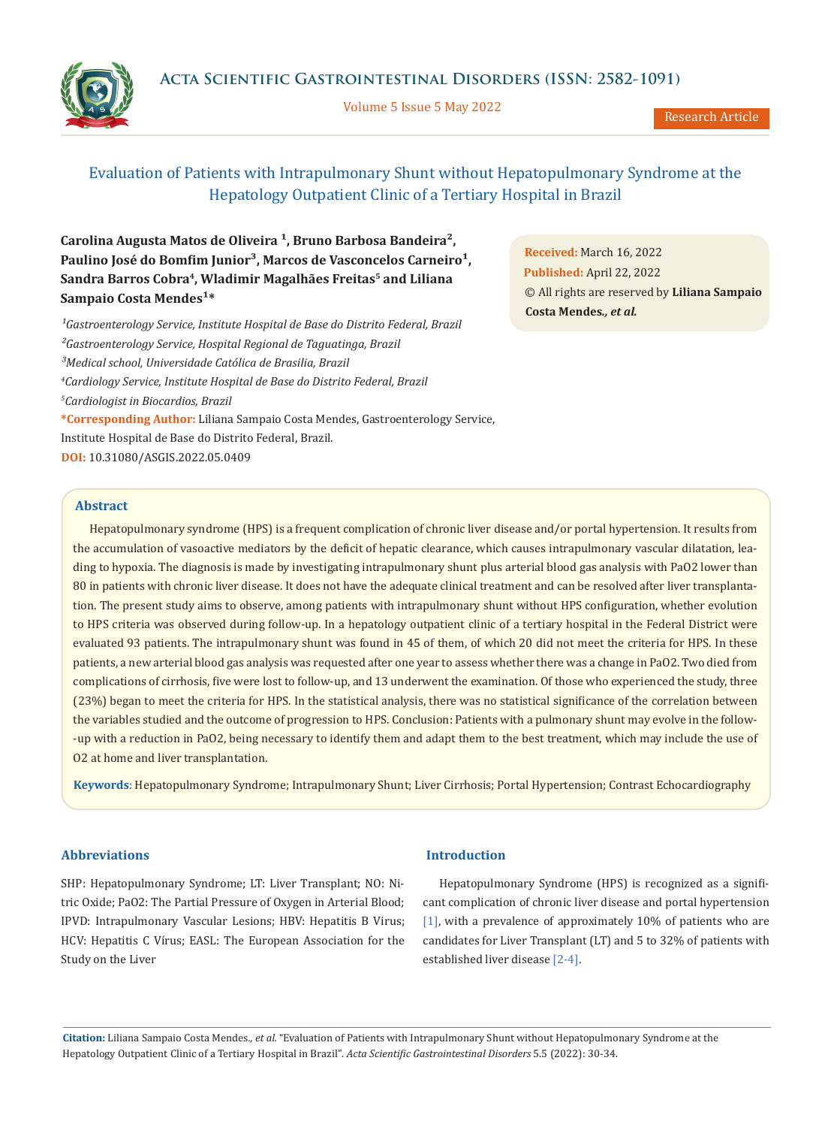**Acta Scientific Gastrointestinal Disorders (ISSN: 2582-1091)**



Volume 5 Issue 5 May 2022

Research Article

# Evaluation of Patients with Intrapulmonary Shunt without Hepatopulmonary Syndrome at the Hepatology Outpatient Clinic of a Tertiary Hospital in Brazil

**Carolina Augusta Matos de Oliveira ¹, Bruno Barbosa Bandeira²,**  Paulino José do Bomfim Junior<sup>3</sup>, Marcos de Vasconcelos Carneiro<sup>1</sup>, Sandra Barros Cobra<sup>4</sup>, Wladimir Magalhães Freitas<sup>5</sup> and Liliana **Sampaio Costa Mendes<sup>1\*</sup>** 

<sup>1</sup>Gastroenterology Service, Institute Hospital de Base do Distrito Federal, Brazil *²Gastroenterology Service, Hospital Regional de Taguatinga, Brazil ³Medical school, Universidade Católica de Brasilia, Brazil 4 Cardiology Service, Institute Hospital de Base do Distrito Federal, Brazil 5 Cardiologist in Biocardios, Brazil*  **\*Corresponding Author:** Liliana Sampaio Costa Mendes, Gastroenterology Service, Institute Hospital de Base do Distrito Federal, Brazil. **DOI:** [10.31080/ASGIS.2022.05.0409](https://actascientific.com/ASGIS/pdf/ASGIS-05-0409.pdf)

**Received:** March 16, 2022 **Published:** April 22, 2022 © All rights are reserved by **Liliana Sampaio Costa Mendes***., et al.*

## **Abstract**

Hepatopulmonary syndrome (HPS) is a frequent complication of chronic liver disease and/or portal hypertension. It results from the accumulation of vasoactive mediators by the deficit of hepatic clearance, which causes intrapulmonary vascular dilatation, leading to hypoxia. The diagnosis is made by investigating intrapulmonary shunt plus arterial blood gas analysis with PaO2 lower than 80 in patients with chronic liver disease. It does not have the adequate clinical treatment and can be resolved after liver transplantation. The present study aims to observe, among patients with intrapulmonary shunt without HPS configuration, whether evolution to HPS criteria was observed during follow-up. In a hepatology outpatient clinic of a tertiary hospital in the Federal District were evaluated 93 patients. The intrapulmonary shunt was found in 45 of them, of which 20 did not meet the criteria for HPS. In these patients, a new arterial blood gas analysis was requested after one year to assess whether there was a change in PaO2. Two died from complications of cirrhosis, five were lost to follow-up, and 13 underwent the examination. Of those who experienced the study, three (23%) began to meet the criteria for HPS. In the statistical analysis, there was no statistical significance of the correlation between the variables studied and the outcome of progression to HPS. Conclusion: Patients with a pulmonary shunt may evolve in the follow- -up with a reduction in PaO2, being necessary to identify them and adapt them to the best treatment, which may include the use of O2 at home and liver transplantation.

**Keywords**: Hepatopulmonary Syndrome; Intrapulmonary Shunt; Liver Cirrhosis; Portal Hypertension; Contrast Echocardiography

## **Abbreviations**

SHP: Hepatopulmonary Syndrome; LT: Liver Transplant; NO: Nitric Oxide; PaO2: The Partial Pressure of Oxygen in Arterial Blood; IPVD: Intrapulmonary Vascular Lesions; HBV: Hepatitis B Virus; HCV: Hepatitis C Vírus; EASL: The European Association for the Study on the Liver

#### **Introduction**

Hepatopulmonary Syndrome (HPS) is recognized as a significant complication of chronic liver disease and portal hypertension [1], with a prevalence of approximately 10% of patients who are candidates for Liver Transplant (LT) and 5 to 32% of patients with established liver disease [2-4].

**Citation:** Liliana Sampaio Costa Mendes*., et al.* "Evaluation of Patients with Intrapulmonary Shunt without Hepatopulmonary Syndrome at the Hepatology Outpatient Clinic of a Tertiary Hospital in Brazil". *Acta Scientific Gastrointestinal Disorders* 5.5 (2022): 30-34.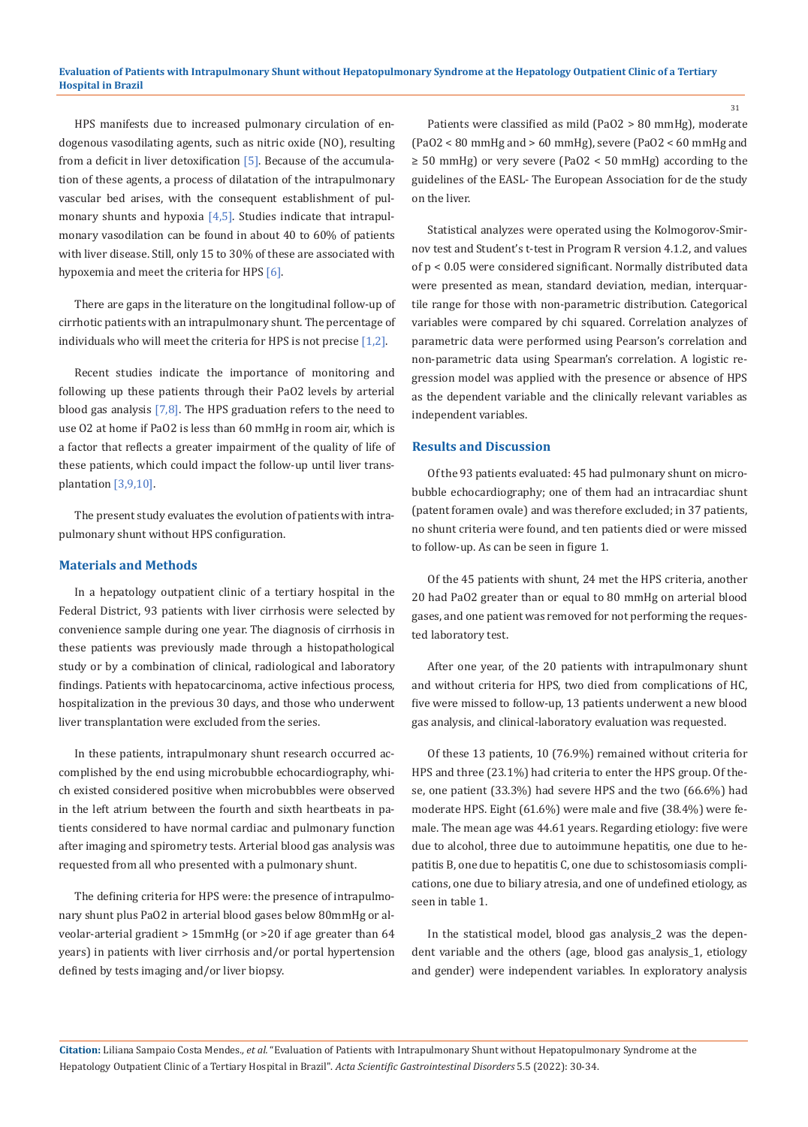HPS manifests due to increased pulmonary circulation of endogenous vasodilating agents, such as nitric oxide (NO), resulting from a deficit in liver detoxification  $[5]$ . Because of the accumulation of these agents, a process of dilatation of the intrapulmonary vascular bed arises, with the consequent establishment of pulmonary shunts and hypoxia  $[4,5]$ . Studies indicate that intrapulmonary vasodilation can be found in about 40 to 60% of patients with liver disease. Still, only 15 to 30% of these are associated with hypoxemia and meet the criteria for HPS [6].

There are gaps in the literature on the longitudinal follow-up of cirrhotic patients with an intrapulmonary shunt. The percentage of individuals who will meet the criteria for HPS is not precise [1,2].

Recent studies indicate the importance of monitoring and following up these patients through their PaO2 levels by arterial blood gas analysis [7,8]. The HPS graduation refers to the need to use O2 at home if PaO2 is less than 60 mmHg in room air, which is a factor that reflects a greater impairment of the quality of life of these patients, which could impact the follow-up until liver transplantation [3,9,10].

The present study evaluates the evolution of patients with intrapulmonary shunt without HPS configuration.

## **Materials and Methods**

In a hepatology outpatient clinic of a tertiary hospital in the Federal District, 93 patients with liver cirrhosis were selected by convenience sample during one year. The diagnosis of cirrhosis in these patients was previously made through a histopathological study or by a combination of clinical, radiological and laboratory findings. Patients with hepatocarcinoma, active infectious process, hospitalization in the previous 30 days, and those who underwent liver transplantation were excluded from the series.

In these patients, intrapulmonary shunt research occurred accomplished by the end using microbubble echocardiography, which existed considered positive when microbubbles were observed in the left atrium between the fourth and sixth heartbeats in patients considered to have normal cardiac and pulmonary function after imaging and spirometry tests. Arterial blood gas analysis was requested from all who presented with a pulmonary shunt.

The defining criteria for HPS were: the presence of intrapulmonary shunt plus PaO2 in arterial blood gases below 80mmHg or alveolar-arterial gradient > 15mmHg (or >20 if age greater than 64 years) in patients with liver cirrhosis and/or portal hypertension defined by tests imaging and/or liver biopsy.

Patients were classified as mild (PaO2 > 80 mmHg), moderate (PaO2 < 80 mmHg and > 60 mmHg), severe (PaO2 < 60 mmHg and ≥ 50 mmHg) or very severe (PaO2 < 50 mmHg) according to the guidelines of the EASL- The European Association for de the study on the liver.

Statistical analyzes were operated using the Kolmogorov-Smirnov test and Student's t-test in Program R version 4.1.2, and values of p < 0.05 were considered significant. Normally distributed data were presented as mean, standard deviation, median, interquartile range for those with non-parametric distribution. Categorical variables were compared by chi squared. Correlation analyzes of parametric data were performed using Pearson's correlation and non-parametric data using Spearman's correlation. A logistic regression model was applied with the presence or absence of HPS as the dependent variable and the clinically relevant variables as independent variables.

# **Results and Discussion**

Of the 93 patients evaluated: 45 had pulmonary shunt on microbubble echocardiography; one of them had an intracardiac shunt (patent foramen ovale) and was therefore excluded; in 37 patients, no shunt criteria were found, and ten patients died or were missed to follow-up. As can be seen in figure 1.

Of the 45 patients with shunt, 24 met the HPS criteria, another 20 had PaO2 greater than or equal to 80 mmHg on arterial blood gases, and one patient was removed for not performing the requested laboratory test.

After one year, of the 20 patients with intrapulmonary shunt and without criteria for HPS, two died from complications of HC, five were missed to follow-up, 13 patients underwent a new blood gas analysis, and clinical-laboratory evaluation was requested.

Of these 13 patients, 10 (76.9%) remained without criteria for HPS and three (23.1%) had criteria to enter the HPS group. Of these, one patient (33.3%) had severe HPS and the two (66.6%) had moderate HPS. Eight (61.6%) were male and five (38.4%) were female. The mean age was 44.61 years. Regarding etiology: five were due to alcohol, three due to autoimmune hepatitis, one due to hepatitis B, one due to hepatitis C, one due to schistosomiasis complications, one due to biliary atresia, and one of undefined etiology, as seen in table 1.

In the statistical model, blood gas analysis\_2 was the dependent variable and the others (age, blood gas analysis\_1, etiology and gender) were independent variables. In exploratory analysis

**Citation:** Liliana Sampaio Costa Mendes*., et al.* "Evaluation of Patients with Intrapulmonary Shunt without Hepatopulmonary Syndrome at the Hepatology Outpatient Clinic of a Tertiary Hospital in Brazil". *Acta Scientific Gastrointestinal Disorders* 5.5 (2022): 30-34.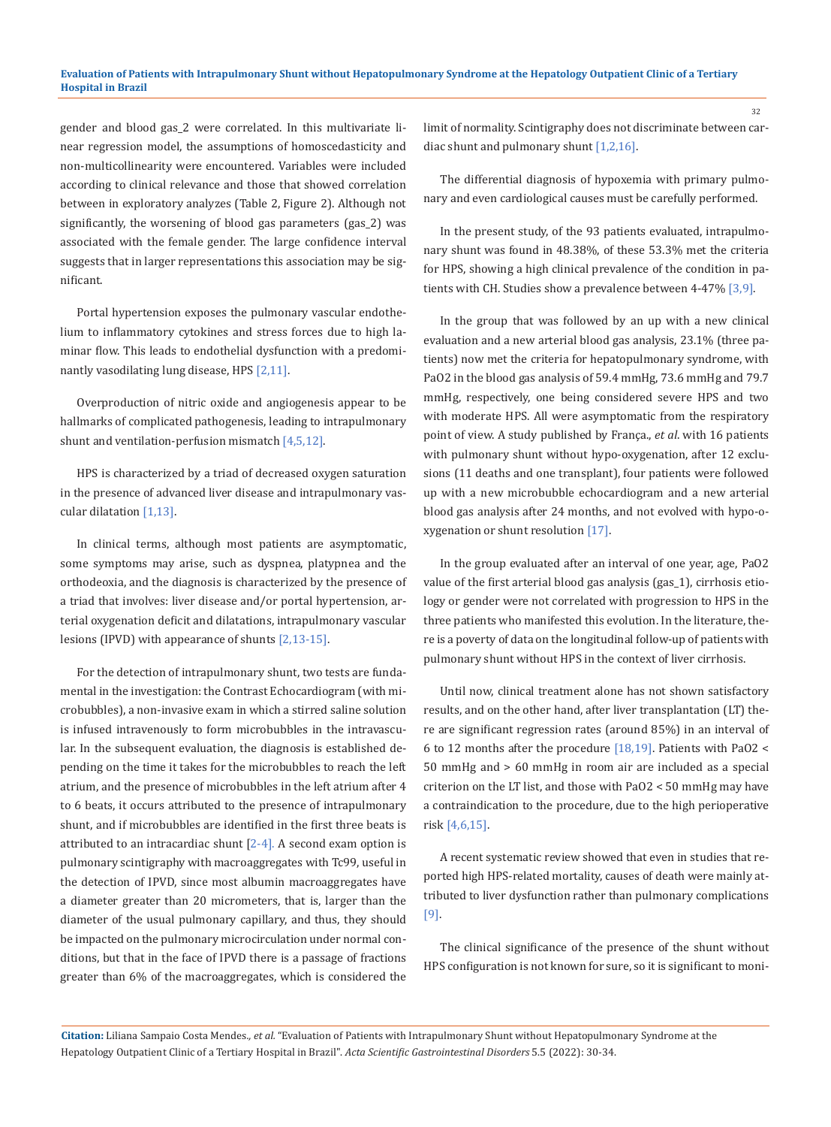gender and blood gas\_2 were correlated. In this multivariate linear regression model, the assumptions of homoscedasticity and non-multicollinearity were encountered. Variables were included according to clinical relevance and those that showed correlation between in exploratory analyzes (Table 2, Figure 2). Although not significantly, the worsening of blood gas parameters (gas\_2) was associated with the female gender. The large confidence interval suggests that in larger representations this association may be significant.

Portal hypertension exposes the pulmonary vascular endothelium to inflammatory cytokines and stress forces due to high laminar flow. This leads to endothelial dysfunction with a predominantly vasodilating lung disease, HPS [2,11].

Overproduction of nitric oxide and angiogenesis appear to be hallmarks of complicated pathogenesis, leading to intrapulmonary shunt and ventilation-perfusion mismatch [4,5,12].

HPS is characterized by a triad of decreased oxygen saturation in the presence of advanced liver disease and intrapulmonary vascular dilatation [1,13].

In clinical terms, although most patients are asymptomatic, some symptoms may arise, such as dyspnea, platypnea and the orthodeoxia, and the diagnosis is characterized by the presence of a triad that involves: liver disease and/or portal hypertension, arterial oxygenation deficit and dilatations, intrapulmonary vascular lesions (IPVD) with appearance of shunts [2,13-15].

For the detection of intrapulmonary shunt, two tests are fundamental in the investigation: the Contrast Echocardiogram (with microbubbles), a non-invasive exam in which a stirred saline solution is infused intravenously to form microbubbles in the intravascular. In the subsequent evaluation, the diagnosis is established depending on the time it takes for the microbubbles to reach the left atrium, and the presence of microbubbles in the left atrium after 4 to 6 beats, it occurs attributed to the presence of intrapulmonary shunt, and if microbubbles are identified in the first three beats is attributed to an intracardiac shunt  $[2-4]$ . A second exam option is pulmonary scintigraphy with macroaggregates with Tc99, useful in the detection of IPVD, since most albumin macroaggregates have a diameter greater than 20 micrometers, that is, larger than the diameter of the usual pulmonary capillary, and thus, they should be impacted on the pulmonary microcirculation under normal conditions, but that in the face of IPVD there is a passage of fractions greater than 6% of the macroaggregates, which is considered the

limit of normality. Scintigraphy does not discriminate between cardiac shunt and pulmonary shunt [1,2,16].

The differential diagnosis of hypoxemia with primary pulmonary and even cardiological causes must be carefully performed.

In the present study, of the 93 patients evaluated, intrapulmonary shunt was found in 48.38%, of these 53.3% met the criteria for HPS, showing a high clinical prevalence of the condition in patients with CH. Studies show a prevalence between 4-47% [3,9].

In the group that was followed by an up with a new clinical evaluation and a new arterial blood gas analysis, 23.1% (three patients) now met the criteria for hepatopulmonary syndrome, with PaO2 in the blood gas analysis of 59.4 mmHg, 73.6 mmHg and 79.7 mmHg, respectively, one being considered severe HPS and two with moderate HPS. All were asymptomatic from the respiratory point of view. A study published by França., *et al*. with 16 patients with pulmonary shunt without hypo-oxygenation, after 12 exclusions (11 deaths and one transplant), four patients were followed up with a new microbubble echocardiogram and a new arterial blood gas analysis after 24 months, and not evolved with hypo-oxygenation or shunt resolution [17].

In the group evaluated after an interval of one year, age, PaO2 value of the first arterial blood gas analysis (gas\_1), cirrhosis etiology or gender were not correlated with progression to HPS in the three patients who manifested this evolution. In the literature, there is a poverty of data on the longitudinal follow-up of patients with pulmonary shunt without HPS in the context of liver cirrhosis.

Until now, clinical treatment alone has not shown satisfactory results, and on the other hand, after liver transplantation (LT) there are significant regression rates (around 85%) in an interval of 6 to 12 months after the procedure [18,19]. Patients with PaO2 < 50 mmHg and > 60 mmHg in room air are included as a special criterion on the LT list, and those with PaO2 < 50 mmHg may have a contraindication to the procedure, due to the high perioperative risk [4,6,15].

A recent systematic review showed that even in studies that reported high HPS-related mortality, causes of death were mainly attributed to liver dysfunction rather than pulmonary complications [9].

The clinical significance of the presence of the shunt without HPS configuration is not known for sure, so it is significant to moni-

**Citation:** Liliana Sampaio Costa Mendes*., et al.* "Evaluation of Patients with Intrapulmonary Shunt without Hepatopulmonary Syndrome at the Hepatology Outpatient Clinic of a Tertiary Hospital in Brazil". *Acta Scientific Gastrointestinal Disorders* 5.5 (2022): 30-34.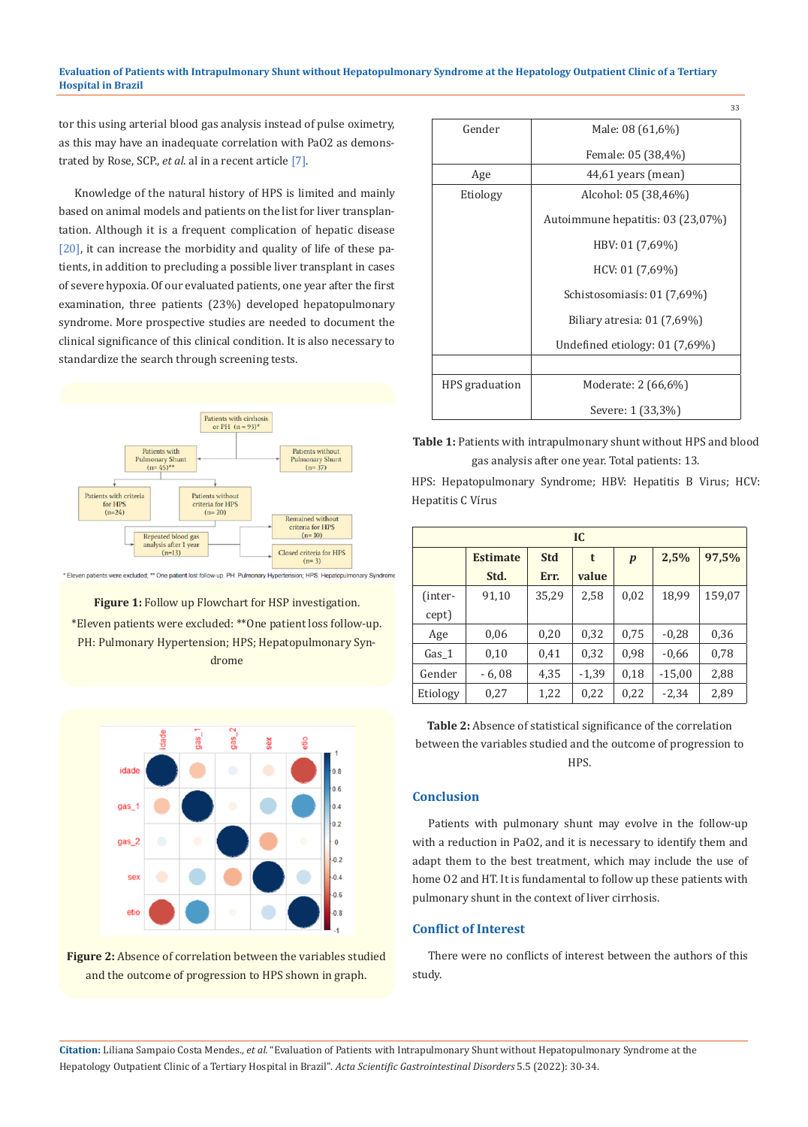#### **Evaluation of Patients with Intrapulmonary Shunt without Hepatopulmonary Syndrome at the Hepatology Outpatient Clinic of a Tertiary Hospital in Brazil**

tor this using arterial blood gas analysis instead of pulse oximetry, as this may have an inadequate correlation with PaO2 as demonstrated by Rose, SCP., *et al*. al in a recent article [7].

Knowledge of the natural history of HPS is limited and mainly based on animal models and patients on the list for liver transplantation. Although it is a frequent complication of hepatic disease [20], it can increase the morbidity and quality of life of these patients, in addition to precluding a possible liver transplant in cases of severe hypoxia. Of our evaluated patients, one year after the first examination, three patients (23%) developed hepatopulmonary syndrome. More prospective studies are needed to document the clinical significance of this clinical condition. It is also necessary to standardize the search through screening tests.



Eleven patients were excluded; \*\* One patient lost follow-up. PH: Pulmonary Hyperte sion; HPS: Hepatopulmonary Syndrome

**Figure 1:** Follow up Flowchart for HSP investigation.

\*Eleven patients were excluded: \*\*One patient loss follow-up. PH: Pulmonary Hypertension; HPS; Hepatopulmonary Syndrome





| Gender         | Male: 08 (61,6%)                  |  |  |  |  |
|----------------|-----------------------------------|--|--|--|--|
|                | Female: 05 (38,4%)                |  |  |  |  |
| Age            | 44,61 years (mean)                |  |  |  |  |
| Etiology       | Alcohol: 05 (38,46%)              |  |  |  |  |
|                | Autoimmune hepatitis: 03 (23,07%) |  |  |  |  |
|                | HBV: 01 (7,69%)                   |  |  |  |  |
|                | HCV: 01 (7,69%)                   |  |  |  |  |
|                | Schistosomiasis: 01 (7,69%)       |  |  |  |  |
|                | Biliary atresia: $01(7,69%)$      |  |  |  |  |
|                | Undefined etiology: $01(7,69%)$   |  |  |  |  |
|                |                                   |  |  |  |  |
| HPS graduation | Moderate: 2 (66,6%)               |  |  |  |  |
|                | Severe: 1 (33,3%)                 |  |  |  |  |

**Table 1:** Patients with intrapulmonary shunt without HPS and blood gas analysis after one year. Total patients: 13.

HPS: Hepatopulmonary Syndrome; HBV: Hepatitis B Virus; HCV: Hepatitis C Vírus

| IC       |                 |            |         |                  |          |        |  |  |
|----------|-----------------|------------|---------|------------------|----------|--------|--|--|
|          | <b>Estimate</b> | <b>Std</b> | t       | $\boldsymbol{p}$ | 2,5%     | 97,5%  |  |  |
|          | Std.            | Err.       | value   |                  |          |        |  |  |
| (inter-  | 91,10           | 35,29      | 2,58    | 0,02             | 18,99    | 159,07 |  |  |
| cept)    |                 |            |         |                  |          |        |  |  |
| Age      | 0,06            | 0,20       | 0,32    | 0,75             | $-0,28$  | 0,36   |  |  |
| Gas 1    | 0,10            | 0,41       | 0,32    | 0,98             | $-0,66$  | 0,78   |  |  |
| Gender   | $-6,08$         | 4,35       | $-1,39$ | 0,18             | $-15,00$ | 2,88   |  |  |
| Etiology | 0,27            | 1,22       | 0,22    | 0,22             | $-2,34$  | 2,89   |  |  |

**Table 2:** Absence of statistical significance of the correlation between the variables studied and the outcome of progression to HPS.

# **Conclusion**

Patients with pulmonary shunt may evolve in the follow-up with a reduction in PaO2, and it is necessary to identify them and adapt them to the best treatment, which may include the use of home O2 and HT. It is fundamental to follow up these patients with pulmonary shunt in the context of liver cirrhosis.

# **Conflict of Interest**

There were no conflicts of interest between the authors of this study.

**Citation:** Liliana Sampaio Costa Mendes*., et al.* "Evaluation of Patients with Intrapulmonary Shunt without Hepatopulmonary Syndrome at the Hepatology Outpatient Clinic of a Tertiary Hospital in Brazil". *Acta Scientific Gastrointestinal Disorders* 5.5 (2022): 30-34.